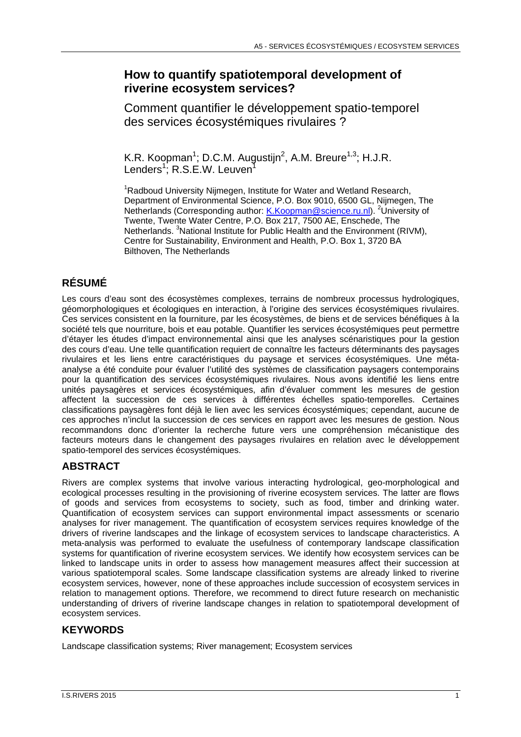### **How to quantify spatiotemporal development of riverine ecosystem services?**

Comment quantifier le développement spatio-temporel des services écosystémiques rivulaires ?

K.R. Koopman<sup>1</sup>; D.C.M. Augustijn<sup>2</sup>, A.M. Breure<sup>1,3</sup>; H.J.R. Lenders<sup>1</sup>; R.S.E.W. Leuven<sup>1</sup>

<sup>1</sup>Radboud University Nijmegen, Institute for Water and Wetland Research, Department of Environmental Science, P.O. Box 9010, 6500 GL, Nijmegen, The Netherlands (Corresponding author: *K.Koopman@science.ru.nl).* <sup>2</sup>University of Twente, Twente Water Centre, P.O. Box 217, 7500 AE, Enschede, The Netherlands. <sup>3</sup>National Institute for Public Health and the Environment (RIVM), Centre for Sustainability, Environment and Health, P.O. Box 1, 3720 BA Bilthoven, The Netherlands

# **RÉSUMÉ**

Les cours d'eau sont des écosystèmes complexes, terrains de nombreux processus hydrologiques, géomorphologiques et écologiques en interaction, à l'origine des services écosystémiques rivulaires. Ces services consistent en la fourniture, par les écosystèmes, de biens et de services bénéfiques à la société tels que nourriture, bois et eau potable. Quantifier les services écosystémiques peut permettre d'étayer les études d'impact environnemental ainsi que les analyses scénaristiques pour la gestion des cours d'eau. Une telle quantification requiert de connaître les facteurs déterminants des paysages rivulaires et les liens entre caractéristiques du paysage et services écosystémiques. Une métaanalyse a été conduite pour évaluer l'utilité des systèmes de classification paysagers contemporains pour la quantification des services écosystémiques rivulaires. Nous avons identifié les liens entre unités paysagères et services écosystémiques, afin d'évaluer comment les mesures de gestion affectent la succession de ces services à différentes échelles spatio-temporelles. Certaines classifications paysagères font déjà le lien avec les services écosystémiques; cependant, aucune de ces approches n'inclut la succession de ces services en rapport avec les mesures de gestion. Nous recommandons donc d'orienter la recherche future vers une compréhension mécanistique des facteurs moteurs dans le changement des paysages rivulaires en relation avec le développement spatio-temporel des services écosystémiques.

## **ABSTRACT**

Rivers are complex systems that involve various interacting hydrological, geo-morphological and ecological processes resulting in the provisioning of riverine ecosystem services. The latter are flows of goods and services from ecosystems to society, such as food, timber and drinking water. Quantification of ecosystem services can support environmental impact assessments or scenario analyses for river management. The quantification of ecosystem services requires knowledge of the drivers of riverine landscapes and the linkage of ecosystem services to landscape characteristics. A meta-analysis was performed to evaluate the usefulness of contemporary landscape classification systems for quantification of riverine ecosystem services. We identify how ecosystem services can be linked to landscape units in order to assess how management measures affect their succession at various spatiotemporal scales. Some landscape classification systems are already linked to riverine ecosystem services, however, none of these approaches include succession of ecosystem services in relation to management options. Therefore, we recommend to direct future research on mechanistic understanding of drivers of riverine landscape changes in relation to spatiotemporal development of ecosystem services.

## **KEYWORDS**

Landscape classification systems; River management; Ecosystem services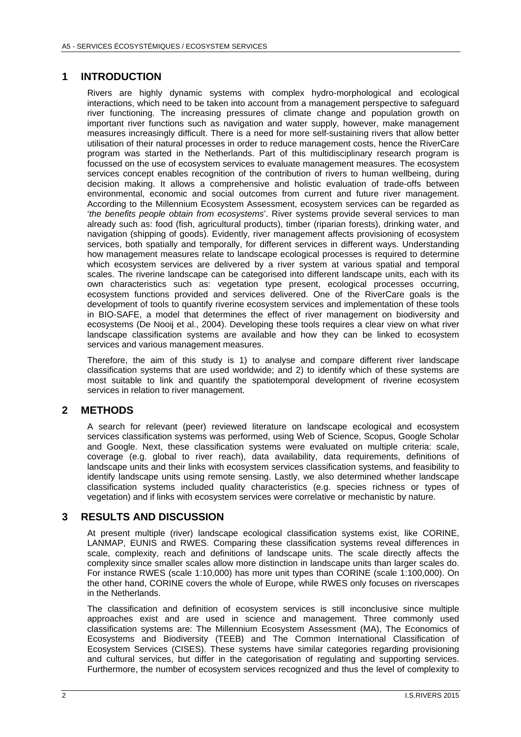#### **1 INTRODUCTION**

Rivers are highly dynamic systems with complex hydro-morphological and ecological interactions, which need to be taken into account from a management perspective to safeguard river functioning. The increasing pressures of climate change and population growth on important river functions such as navigation and water supply, however, make management measures increasingly difficult. There is a need for more self-sustaining rivers that allow better utilisation of their natural processes in order to reduce management costs, hence the RiverCare program was started in the Netherlands. Part of this multidisciplinary research program is focussed on the use of ecosystem services to evaluate management measures. The ecosystem services concept enables recognition of the contribution of rivers to human wellbeing, during decision making. It allows a comprehensive and holistic evaluation of trade-offs between environmental, economic and social outcomes from current and future river management. According to the Millennium Ecosystem Assessment, ecosystem services can be regarded as '*the benefits people obtain from ecosystems*'. River systems provide several services to man already such as: food (fish, agricultural products), timber (riparian forests), drinking water, and navigation (shipping of goods). Evidently, river management affects provisioning of ecosystem services, both spatially and temporally, for different services in different ways. Understanding how management measures relate to landscape ecological processes is required to determine which ecosystem services are delivered by a river system at various spatial and temporal scales. The riverine landscape can be categorised into different landscape units, each with its own characteristics such as: vegetation type present, ecological processes occurring, ecosystem functions provided and services delivered. One of the RiverCare goals is the development of tools to quantify riverine ecosystem services and implementation of these tools in BIO-SAFE, a model that determines the effect of river management on biodiversity and ecosystems (De Nooij et al., 2004). Developing these tools requires a clear view on what river landscape classification systems are available and how they can be linked to ecosystem services and various management measures.

Therefore, the aim of this study is 1) to analyse and compare different river landscape classification systems that are used worldwide; and 2) to identify which of these systems are most suitable to link and quantify the spatiotemporal development of riverine ecosystem services in relation to river management.

#### **2 METHODS**

A search for relevant (peer) reviewed literature on landscape ecological and ecosystem services classification systems was performed, using Web of Science, Scopus, Google Scholar and Google. Next, these classification systems were evaluated on multiple criteria: scale, coverage (e.g. global to river reach), data availability, data requirements, definitions of landscape units and their links with ecosystem services classification systems, and feasibility to identify landscape units using remote sensing. Lastly, we also determined whether landscape classification systems included quality characteristics (e.g. species richness or types of vegetation) and if links with ecosystem services were correlative or mechanistic by nature.

#### **3 RESULTS AND DISCUSSION**

At present multiple (river) landscape ecological classification systems exist, like CORINE, LANMAP, EUNIS and RWES. Comparing these classification systems reveal differences in scale, complexity, reach and definitions of landscape units. The scale directly affects the complexity since smaller scales allow more distinction in landscape units than larger scales do. For instance RWES (scale 1:10,000) has more unit types than CORINE (scale 1:100,000). On the other hand, CORINE covers the whole of Europe, while RWES only focuses on riverscapes in the Netherlands.

The classification and definition of ecosystem services is still inconclusive since multiple approaches exist and are used in science and management. Three commonly used classification systems are: The Millennium Ecosystem Assessment (MA), The Economics of Ecosystems and Biodiversity (TEEB) and The Common International Classification of Ecosystem Services (CISES). These systems have similar categories regarding provisioning and cultural services, but differ in the categorisation of regulating and supporting services. Furthermore, the number of ecosystem services recognized and thus the level of complexity to